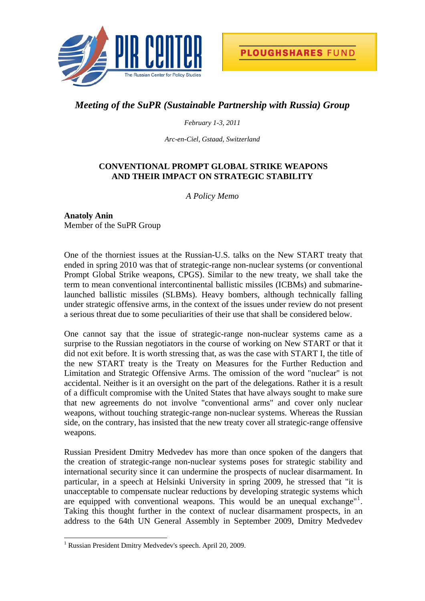

## *Meeting of the SuPR (Sustainable Partnership with Russia) Group*

## *February 1-3, 2011*

*Arc-en-Ciel, Gstaad, Switzerland* 

## **CONVENTIONAL PROMPT GLOBAL STRIKE WEAPONS AND THEIR IMPACT ON STRATEGIC STABILITY**

*A Policy Memo* 

**Anatoly Anin**  Member of the SuPR Group

One of the thorniest issues at the Russian-U.S. talks on the New START treaty that ended in spring 2010 was that of strategic-range non-nuclear systems (or conventional Prompt Global Strike weapons, CPGS). Similar to the new treaty, we shall take the term to mean conventional intercontinental ballistic missiles (ICBMs) and submarinelaunched ballistic missiles (SLBMs). Heavy bombers, although technically falling under strategic offensive arms, in the context of the issues under review do not present a serious threat due to some peculiarities of their use that shall be considered below.

One cannot say that the issue of strategic-range non-nuclear systems came as a surprise to the Russian negotiators in the course of working on New START or that it did not exit before. It is worth stressing that, as was the case with START I, the title of the new START treaty is the Treaty on Measures for the Further Reduction and Limitation and Strategic Offensive Arms. The omission of the word "nuclear" is not accidental. Neither is it an oversight on the part of the delegations. Rather it is a result of a difficult compromise with the United States that have always sought to make sure that new agreements do not involve "conventional arms" and cover only nuclear weapons, without touching strategic-range non-nuclear systems. Whereas the Russian side, on the contrary, has insisted that the new treaty cover all strategic-range offensive weapons.

Russian President Dmitry Medvedev has more than once spoken of the dangers that the creation of strategic-range non-nuclear systems poses for strategic stability and international security since it can undermine the prospects of nuclear disarmament. In particular, in a speech at Helsinki University in spring 2009, he stressed that "it is unacceptable to compensate nuclear reductions by developing strategic systems which are equipped with conventional weapons. This would be an unequal exchange"<sup>[1](#page-0-0)</sup>. Taking this thought further in the context of nuclear disarmament prospects, in an address to the 64th UN General Assembly in September 2009, Dmitry Medvedev

l

<span id="page-0-0"></span><sup>&</sup>lt;sup>1</sup> Russian President Dmitry Medvedev's speech. April 20, 2009.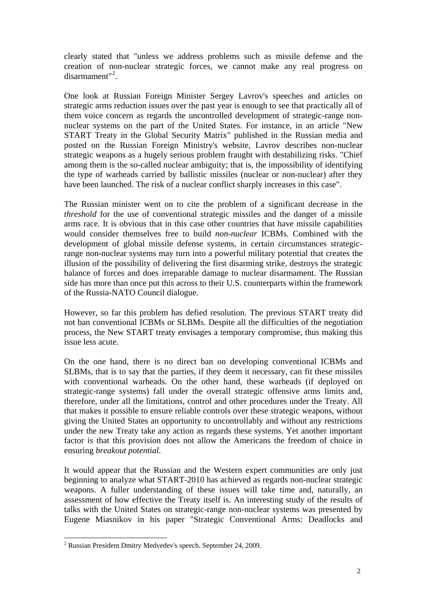clearly stated that "unless we address problems such as missile defense and the creation of non-nuclear strategic forces, we cannot make any real progress on disarmament"<sup>[2](#page-1-0)</sup>.

One look at Russian Foreign Minister Sergey Lavrov's speeches and articles on strategic arms reduction issues over the past year is enough to see that practically all of them voice concern as regards the uncontrolled development of strategic-range nonnuclear systems on the part of the United States. For instance, in an article "New START Treaty in the Global Security Matrix" published in the Russian media and posted on the Russian Foreign Ministry's website, Lavrov describes non-nuclear strategic weapons as a hugely serious problem fraught with destabilizing risks. "Chief among them is the so-called nuclear ambiguity; that is, the impossibility of identifying the type of warheads carried by ballistic missiles (nuclear or non-nuclear) after they have been launched. The risk of a nuclear conflict sharply increases in this case".

The Russian minister went on to cite the problem of a significant decrease in the *threshold* for the use of conventional strategic missiles and the danger of a missile arms race. It is obvious that in this case other countries that have missile capabilities would consider themselves free to build *non-nuclear* ICBMs. Combined with the development of global missile defense systems, in certain circumstances strategicrange non-nuclear systems may turn into a powerful military potential that creates the illusion of the possibility of delivering the first disarming strike, destroys the strategic balance of forces and does irreparable damage to nuclear disarmament. The Russian side has more than once put this across to their U.S. counterparts within the framework of the Russia-NATO Council dialogue.

However, so far this problem has defied resolution. The previous START treaty did not ban conventional ICBMs or SLBMs. Despite all the difficulties of the negotiation process, the New START treaty envisages a temporary compromise, thus making this issue less acute.

On the one hand, there is no direct ban on developing conventional ICBMs and SLBMs, that is to say that the parties, if they deem it necessary, can fit these missiles with conventional warheads. On the other hand, these warheads (if deployed on strategic-range systems) fall under the overall strategic offensive arms limits and, therefore, under all the limitations, control and other procedures under the Treaty. All that makes it possible to ensure reliable controls over these strategic weapons, without giving the United States an opportunity to uncontrollably and without any restrictions under the new Treaty take any action as regards these systems. Yet another important factor is that this provision does not allow the Americans the freedom of choice in ensuring *breakout potential*.

It would appear that the Russian and the Western expert communities are only just beginning to analyze what START-2010 has achieved as regards non-nuclear strategic weapons. A fuller understanding of these issues will take time and, naturally, an assessment of how effective the Treaty itself is. An interesting study of the results of talks with the United States on strategic-range non-nuclear systems was presented by Eugene Miasnikov in his paper "Strategic Conventional Arms: Deadlocks and

l

<span id="page-1-0"></span><sup>&</sup>lt;sup>2</sup> Russian President Dmitry Medvedev's speech. September 24, 2009.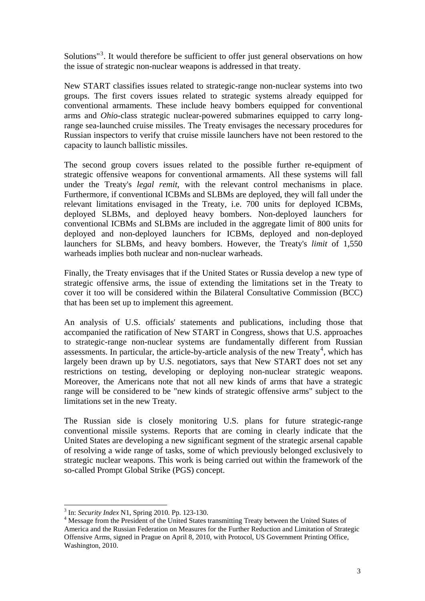Solutions"<sup>[3](#page-2-0)</sup>. It would therefore be sufficient to offer just general observations on how the issue of strategic non-nuclear weapons is addressed in that treaty.

New START classifies issues related to strategic-range non-nuclear systems into two groups. The first covers issues related to strategic systems already equipped for conventional armaments. These include heavy bombers equipped for conventional arms and *Ohio*-class strategic nuclear-powered submarines equipped to carry longrange sea-launched cruise missiles. The Treaty envisages the necessary procedures for Russian inspectors to verify that cruise missile launchers have not been restored to the capacity to launch ballistic missiles.

The second group covers issues related to the possible further re-equipment of strategic offensive weapons for conventional armaments. All these systems will fall under the Treaty's *legal remit*, with the relevant control mechanisms in place. Furthermore, if conventional ICBMs and SLBMs are deployed, they will fall under the relevant limitations envisaged in the Treaty, i.e. 700 units for deployed ICBMs, deployed SLBMs, and deployed heavy bombers. Non-deployed launchers for conventional ICBMs and SLBMs are included in the aggregate limit of 800 units for deployed and non-deployed launchers for ICBMs, deployed and non-deployed launchers for SLBMs, and heavy bombers. However, the Treaty's *limit* of 1,550 warheads implies both nuclear and non-nuclear warheads.

Finally, the Treaty envisages that if the United States or Russia develop a new type of strategic offensive arms, the issue of extending the limitations set in the Treaty to cover it too will be considered within the Bilateral Consultative Commission (BCC) that has been set up to implement this agreement.

An analysis of U.S. officials' statements and publications, including those that accompanied the ratification of New START in Congress, shows that U.S. approaches to strategic-range non-nuclear systems are fundamentally different from Russian assessments. In particular, the article-by-article analysis of the new Treaty<sup>[4](#page-2-1)</sup>, which has largely been drawn up by U.S. negotiators, says that New START does not set any restrictions on testing, developing or deploying non-nuclear strategic weapons. Moreover, the Americans note that not all new kinds of arms that have a strategic range will be considered to be "new kinds of strategic offensive arms" subject to the limitations set in the new Treaty.

The Russian side is closely monitoring U.S. plans for future strategic-range conventional missile systems. Reports that are coming in clearly indicate that the United States are developing a new significant segment of the strategic arsenal capable of resolving a wide range of tasks, some of which previously belonged exclusively to strategic nuclear weapons. This work is being carried out within the framework of the so-called Prompt Global Strike (PGS) concept.

<sup>&</sup>lt;sup>3</sup> In: *Security Index* N1, Spring 2010. Pp. 123-130.

<span id="page-2-1"></span><span id="page-2-0"></span><sup>&</sup>lt;sup>4</sup> Message from the President of the United States transmitting Treaty between the United States of America and the Russian Federation on Measures for the Further Reduction and Limitation of Strategic Offensive Arms, signed in Prague on April 8, 2010, with Protocol, US Government Printing Office, Washington, 2010.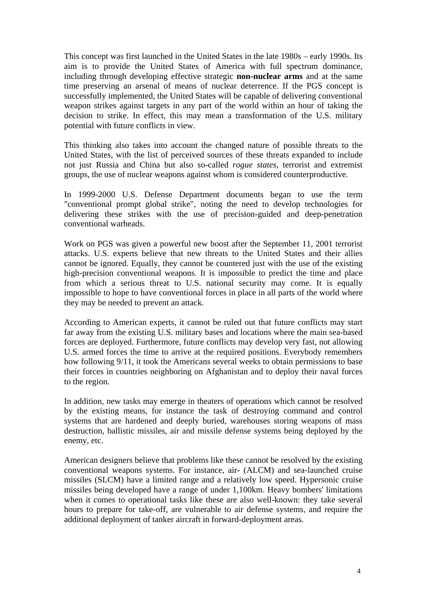This concept was first launched in the United States in the late 1980s – early 1990s. Its aim is to provide the United States of America with full spectrum dominance, including through developing effective strategic **non-nuclear arms** and at the same time preserving an arsenal of means of nuclear deterrence. If the PGS concept is successfully implemented, the United States will be capable of delivering conventional weapon strikes against targets in any part of the world within an hour of taking the decision to strike. In effect, this may mean a transformation of the U.S. military potential with future conflicts in view.

This thinking also takes into account the changed nature of possible threats to the United States, with the list of perceived sources of these threats expanded to include not just Russia and China but also so-called *rogue states*, terrorist and extremist groups, the use of nuclear weapons against whom is considered counterproductive.

In 1999-2000 U.S. Defense Department documents began to use the term "conventional prompt global strike", noting the need to develop technologies for delivering these strikes with the use of precision-guided and deep-penetration conventional warheads.

Work on PGS was given a powerful new boost after the September 11, 2001 terrorist attacks. U.S. experts believe that new threats to the United States and their allies cannot be ignored. Equally, they cannot be countered just with the use of the existing high-precision conventional weapons. It is impossible to predict the time and place from which a serious threat to U.S. national security may come. It is equally impossible to hope to have conventional forces in place in all parts of the world where they may be needed to prevent an attack.

According to American experts, it cannot be ruled out that future conflicts may start far away from the existing U.S. military bases and locations where the main sea-based forces are deployed. Furthermore, future conflicts may develop very fast, not allowing U.S. armed forces the time to arrive at the required positions. Everybody remembers how following 9/11, it took the Americans several weeks to obtain permissions to base their forces in countries neighboring on Afghanistan and to deploy their naval forces to the region.

In addition, new tasks may emerge in theaters of operations which cannot be resolved by the existing means, for instance the task of destroying command and control systems that are hardened and deeply buried, warehouses storing weapons of mass destruction, ballistic missiles, air and missile defense systems being deployed by the enemy, etc.

American designers believe that problems like these cannot be resolved by the existing conventional weapons systems. For instance, air- (ALCM) and sea-launched cruise missiles (SLCM) have a limited range and a relatively low speed. Hypersonic cruise missiles being developed have a range of under 1,100km. Heavy bombers' limitations when it comes to operational tasks like these are also well-known: they take several hours to prepare for take-off, are vulnerable to air defense systems, and require the additional deployment of tanker aircraft in forward-deployment areas.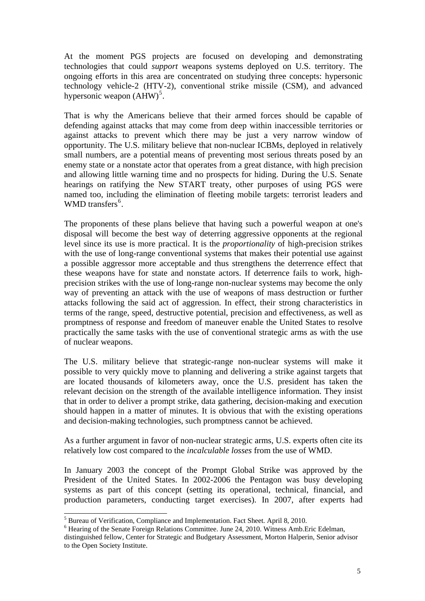At the moment PGS projects are focused on developing and demonstrating technologies that could *support* weapons systems deployed on U.S. territory. The ongoing efforts in this area are concentrated on studying three concepts: hypersonic technology vehicle-2 (HTV-2), conventional strike missile (CSM), and advanced hypersonic weapon  $(AHW)^5$  $(AHW)^5$ .

That is why the Americans believe that their armed forces should be capable of defending against attacks that may come from deep within inaccessible territories or against attacks to prevent which there may be just a very narrow window of opportunity. The U.S. military believe that non-nuclear ICBMs, deployed in relatively small numbers, are a potential means of preventing most serious threats posed by an enemy state or a nonstate actor that operates from a great distance, with high precision and allowing little warning time and no prospects for hiding. During the U.S. Senate hearings on ratifying the New START treaty, other purposes of using PGS were named too, including the elimination of fleeting mobile targets: terrorist leaders and WMD transfers<sup>[6](#page-4-1)</sup>.

The proponents of these plans believe that having such a powerful weapon at one's disposal will become the best way of deterring aggressive opponents at the regional level since its use is more practical. It is the *proportionality* of high-precision strikes with the use of long-range conventional systems that makes their potential use against a possible aggressor more acceptable and thus strengthens the deterrence effect that these weapons have for state and nonstate actors. If deterrence fails to work, highprecision strikes with the use of long-range non-nuclear systems may become the only way of preventing an attack with the use of weapons of mass destruction or further attacks following the said act of aggression. In effect, their strong characteristics in terms of the range, speed, destructive potential, precision and effectiveness, as well as promptness of response and freedom of maneuver enable the United States to resolve practically the same tasks with the use of conventional strategic arms as with the use of nuclear weapons.

The U.S. military believe that strategic-range non-nuclear systems will make it possible to very quickly move to planning and delivering a strike against targets that are located thousands of kilometers away, once the U.S. president has taken the relevant decision on the strength of the available intelligence information. They insist that in order to deliver a prompt strike, data gathering, decision-making and execution should happen in a matter of minutes. It is obvious that with the existing operations and decision-making technologies, such promptness cannot be achieved.

As a further argument in favor of non-nuclear strategic arms, U.S. experts often cite its relatively low cost compared to the *incalculable losses* from the use of WMD.

In January 2003 the concept of the Prompt Global Strike was approved by the President of the United States. In 2002-2006 the Pentagon was busy developing systems as part of this concept (setting its operational, technical, financial, and production parameters, conducting target exercises). In 2007, after experts had

<sup>&</sup>lt;sup>5</sup><br><sup>5</sup> Bureau of Verification, Compliance and Implementation. Fact Sheet. April 8, 2010.

<span id="page-4-1"></span><span id="page-4-0"></span><sup>&</sup>lt;sup>6</sup> Hearing of the Senate Foreign Relations Committee. June 24, 2010. Witness Amb. Eric Edelman,

distinguished fellow, Center for Strategic and Budgetary Assessment, Morton Halperin, Senior advisor to the Open Society Institute.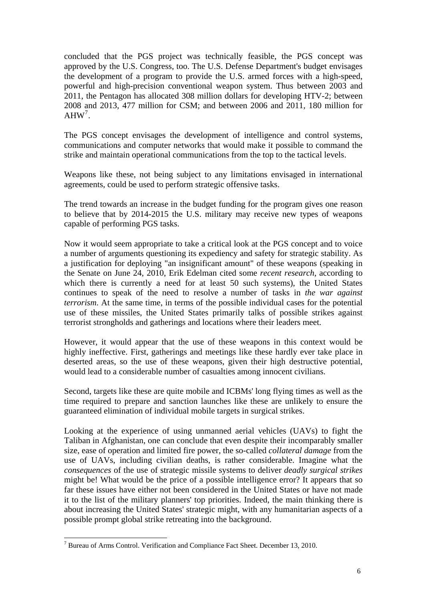concluded that the PGS project was technically feasible, the PGS concept was approved by the U.S. Congress, too. The U.S. Defense Department's budget envisages the development of a program to provide the U.S. armed forces with a high-speed, powerful and high-precision conventional weapon system. Thus between 2003 and 2011, the Pentagon has allocated 308 million dollars for developing HTV-2; between 2008 and 2013, 477 million for CSM; and between 2006 and 2011, 180 million for  $AHW<sup>7</sup>$  $AHW<sup>7</sup>$  $AHW<sup>7</sup>$ .

The PGS concept envisages the development of intelligence and control systems, communications and computer networks that would make it possible to command the strike and maintain operational communications from the top to the tactical levels.

Weapons like these, not being subject to any limitations envisaged in international agreements, could be used to perform strategic offensive tasks.

The trend towards an increase in the budget funding for the program gives one reason to believe that by 2014-2015 the U.S. military may receive new types of weapons capable of performing PGS tasks.

Now it would seem appropriate to take a critical look at the PGS concept and to voice a number of arguments questioning its expediency and safety for strategic stability. As a justification for deploying "an insignificant amount" of these weapons (speaking in the Senate on June 24, 2010, Erik Edelman cited some *recent research*, according to which there is currently a need for at least 50 such systems), the United States continues to speak of the need to resolve a number of tasks in *the war against terrorism*. At the same time, in terms of the possible individual cases for the potential use of these missiles, the United States primarily talks of possible strikes against terrorist strongholds and gatherings and locations where their leaders meet.

However, it would appear that the use of these weapons in this context would be highly ineffective. First, gatherings and meetings like these hardly ever take place in deserted areas, so the use of these weapons, given their high destructive potential, would lead to a considerable number of casualties among innocent civilians.

Second, targets like these are quite mobile and ICBMs' long flying times as well as the time required to prepare and sanction launches like these are unlikely to ensure the guaranteed elimination of individual mobile targets in surgical strikes.

Looking at the experience of using unmanned aerial vehicles (UAVs) to fight the Taliban in Afghanistan, one can conclude that even despite their incomparably smaller size, ease of operation and limited fire power, the so-called *collateral damage* from the use of UAVs, including civilian deaths, is rather considerable. Imagine what the *consequences* of the use of strategic missile systems to deliver *deadly surgical strikes* might be! What would be the price of a possible intelligence error? It appears that so far these issues have either not been considered in the United States or have not made it to the list of the military planners' top priorities. Indeed, the main thinking there is about increasing the United States' strategic might, with any humanitarian aspects of a possible prompt global strike retreating into the background.

l

<span id="page-5-0"></span> $<sup>7</sup>$  Bureau of Arms Control. Verification and Compliance Fact Sheet. December 13, 2010.</sup>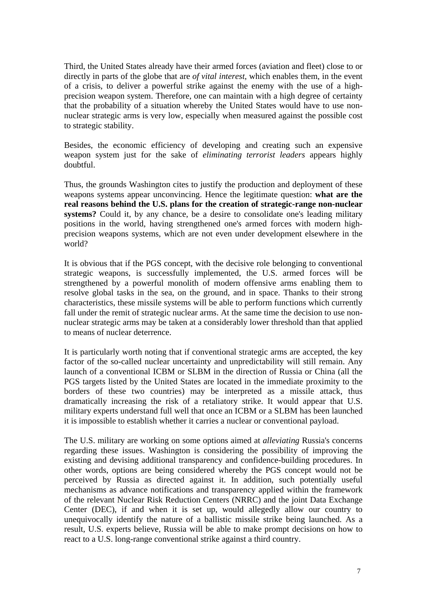Third, the United States already have their armed forces (aviation and fleet) close to or directly in parts of the globe that are *of vital interest*, which enables them, in the event of a crisis, to deliver a powerful strike against the enemy with the use of a highprecision weapon system. Therefore, one can maintain with a high degree of certainty that the probability of a situation whereby the United States would have to use nonnuclear strategic arms is very low, especially when measured against the possible cost to strategic stability.

Besides, the economic efficiency of developing and creating such an expensive weapon system just for the sake of *eliminating terrorist leaders* appears highly doubtful.

Thus, the grounds Washington cites to justify the production and deployment of these weapons systems appear unconvincing. Hence the legitimate question: **what are the real reasons behind the U.S. plans for the creation of strategic-range non-nuclear systems?** Could it, by any chance, be a desire to consolidate one's leading military positions in the world, having strengthened one's armed forces with modern highprecision weapons systems, which are not even under development elsewhere in the world?

It is obvious that if the PGS concept, with the decisive role belonging to conventional strategic weapons, is successfully implemented, the U.S. armed forces will be strengthened by a powerful monolith of modern offensive arms enabling them to resolve global tasks in the sea, on the ground, and in space. Thanks to their strong characteristics, these missile systems will be able to perform functions which currently fall under the remit of strategic nuclear arms. At the same time the decision to use nonnuclear strategic arms may be taken at a considerably lower threshold than that applied to means of nuclear deterrence.

It is particularly worth noting that if conventional strategic arms are accepted, the key factor of the so-called nuclear uncertainty and unpredictability will still remain. Any launch of a conventional ICBM or SLBM in the direction of Russia or China (all the PGS targets listed by the United States are located in the immediate proximity to the borders of these two countries) may be interpreted as a missile attack, thus dramatically increasing the risk of a retaliatory strike. It would appear that U.S. military experts understand full well that once an ICBM or a SLBM has been launched it is impossible to establish whether it carries a nuclear or conventional payload.

The U.S. military are working on some options aimed at *alleviating* Russia's concerns regarding these issues. Washington is considering the possibility of improving the existing and devising additional transparency and confidence-building procedures. In other words, options are being considered whereby the PGS concept would not be perceived by Russia as directed against it. In addition, such potentially useful mechanisms as advance notifications and transparency applied within the framework of the relevant Nuclear Risk Reduction Centers (NRRC) and the joint Data Exchange Center (DEC), if and when it is set up, would allegedly allow our country to unequivocally identify the nature of a ballistic missile strike being launched. As a result, U.S. experts believe, Russia will be able to make prompt decisions on how to react to a U.S. long-range conventional strike against a third country.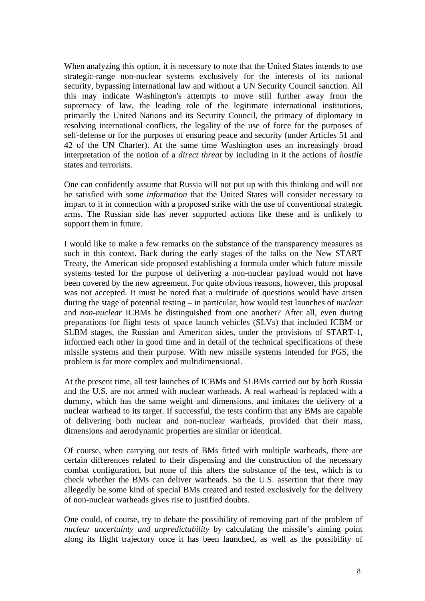When analyzing this option, it is necessary to note that the United States intends to use strategic-range non-nuclear systems exclusively for the interests of its national security, bypassing international law and without a UN Security Council sanction. All this may indicate Washington's attempts to move still further away from the supremacy of law, the leading role of the legitimate international institutions, primarily the United Nations and its Security Council, the primacy of diplomacy in resolving international conflicts, the legality of the use of force for the purposes of self-defense or for the purposes of ensuring peace and security (under Articles 51 and 42 of the UN Charter). At the same time Washington uses an increasingly broad interpretation of the notion of a *direct threat* by including in it the actions of *hostile* states and terrorists.

One can confidently assume that Russia will not put up with this thinking and will not be satisfied with *some information* that the United States will consider necessary to impart to it in connection with a proposed strike with the use of conventional strategic arms. The Russian side has never supported actions like these and is unlikely to support them in future.

I would like to make a few remarks on the substance of the transparency measures as such in this context. Back during the early stages of the talks on the New START Treaty, the American side proposed establishing a formula under which future missile systems tested for the purpose of delivering a non-nuclear payload would not have been covered by the new agreement. For quite obvious reasons, however, this proposal was not accepted. It must be noted that a multitude of questions would have arisen during the stage of potential testing – in particular, how would test launches of *nuclear* and *non-nuclear* ICBMs be distinguished from one another? After all, even during preparations for flight tests of space launch vehicles (SLVs) that included ICBM or SLBM stages, the Russian and American sides, under the provisions of START-1, informed each other in good time and in detail of the technical specifications of these missile systems and their purpose. With new missile systems intended for PGS, the problem is far more complex and multidimensional.

At the present time, all test launches of ICBMs and SLBMs carried out by both Russia and the U.S. are not armed with nuclear warheads. A real warhead is replaced with a dummy, which has the same weight and dimensions, and imitates the delivery of a nuclear warhead to its target. If successful, the tests confirm that any BMs are capable of delivering both nuclear and non-nuclear warheads, provided that their mass, dimensions and aerodynamic properties are similar or identical.

Of course, when carrying out tests of BMs fitted with multiple warheads, there are certain differences related to their dispensing and the construction of the necessary combat configuration, but none of this alters the substance of the test, which is to check whether the BMs can deliver warheads. So the U.S. assertion that there may allegedly be some kind of special BMs created and tested exclusively for the delivery of non-nuclear warheads gives rise to justified doubts.

One could, of course, try to debate the possibility of removing part of the problem of *nuclear uncertainty and unpredictability* by calculating the missile's aiming point along its flight trajectory once it has been launched, as well as the possibility of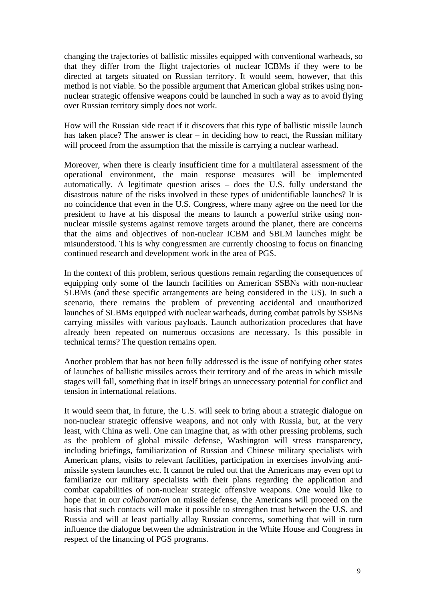changing the trajectories of ballistic missiles equipped with conventional warheads, so that they differ from the flight trajectories of nuclear ICBMs if they were to be directed at targets situated on Russian territory. It would seem, however, that this method is not viable. So the possible argument that American global strikes using nonnuclear strategic offensive weapons could be launched in such a way as to avoid flying over Russian territory simply does not work.

How will the Russian side react if it discovers that this type of ballistic missile launch has taken place? The answer is clear – in deciding how to react, the Russian military will proceed from the assumption that the missile is carrying a nuclear warhead.

Moreover, when there is clearly insufficient time for a multilateral assessment of the operational environment, the main response measures will be implemented automatically. A legitimate question arises – does the U.S. fully understand the disastrous nature of the risks involved in these types of unidentifiable launches? It is no coincidence that even in the U.S. Congress, where many agree on the need for the president to have at his disposal the means to launch a powerful strike using nonnuclear missile systems against remove targets around the planet, there are concerns that the aims and objectives of non-nuclear ICBM and SBLM launches might be misunderstood. This is why congressmen are currently choosing to focus on financing continued research and development work in the area of PGS.

In the context of this problem, serious questions remain regarding the consequences of equipping only some of the launch facilities on American SSBNs with non-nuclear SLBMs (and these specific arrangements are being considered in the US). In such a scenario, there remains the problem of preventing accidental and unauthorized launches of SLBMs equipped with nuclear warheads, during combat patrols by SSBNs carrying missiles with various payloads. Launch authorization procedures that have already been repeated on numerous occasions are necessary. Is this possible in technical terms? The question remains open.

Another problem that has not been fully addressed is the issue of notifying other states of launches of ballistic missiles across their territory and of the areas in which missile stages will fall, something that in itself brings an unnecessary potential for conflict and tension in international relations.

It would seem that, in future, the U.S. will seek to bring about a strategic dialogue on non-nuclear strategic offensive weapons, and not only with Russia, but, at the very least, with China as well. One can imagine that, as with other pressing problems, such as the problem of global missile defense, Washington will stress transparency, including briefings, familiarization of Russian and Chinese military specialists with American plans, visits to relevant facilities, participation in exercises involving antimissile system launches etc. It cannot be ruled out that the Americans may even opt to familiarize our military specialists with their plans regarding the application and combat capabilities of non-nuclear strategic offensive weapons. One would like to hope that in our *collaboration* on missile defense, the Americans will proceed on the basis that such contacts will make it possible to strengthen trust between the U.S. and Russia and will at least partially allay Russian concerns, something that will in turn influence the dialogue between the administration in the White House and Congress in respect of the financing of PGS programs.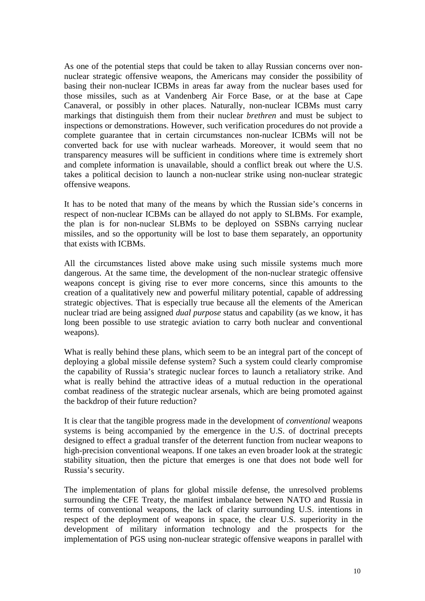As one of the potential steps that could be taken to allay Russian concerns over nonnuclear strategic offensive weapons, the Americans may consider the possibility of basing their non-nuclear ICBMs in areas far away from the nuclear bases used for those missiles, such as at Vandenberg Air Force Base, or at the base at Cape Canaveral, or possibly in other places. Naturally, non-nuclear ICBMs must carry markings that distinguish them from their nuclear *brethren* and must be subject to inspections or demonstrations. However, such verification procedures do not provide a complete guarantee that in certain circumstances non-nuclear ICBMs will not be converted back for use with nuclear warheads. Moreover, it would seem that no transparency measures will be sufficient in conditions where time is extremely short and complete information is unavailable, should a conflict break out where the U.S. takes a political decision to launch a non-nuclear strike using non-nuclear strategic offensive weapons.

It has to be noted that many of the means by which the Russian side's concerns in respect of non-nuclear ICBMs can be allayed do not apply to SLBMs. For example, the plan is for non-nuclear SLBMs to be deployed on SSBNs carrying nuclear missiles, and so the opportunity will be lost to base them separately, an opportunity that exists with ICBMs.

All the circumstances listed above make using such missile systems much more dangerous. At the same time, the development of the non-nuclear strategic offensive weapons concept is giving rise to ever more concerns, since this amounts to the creation of a qualitatively new and powerful military potential, capable of addressing strategic objectives. That is especially true because all the elements of the American nuclear triad are being assigned *dual purpose* status and capability (as we know, it has long been possible to use strategic aviation to carry both nuclear and conventional weapons).

What is really behind these plans, which seem to be an integral part of the concept of deploying a global missile defense system? Such a system could clearly compromise the capability of Russia's strategic nuclear forces to launch a retaliatory strike. And what is really behind the attractive ideas of a mutual reduction in the operational combat readiness of the strategic nuclear arsenals, which are being promoted against the backdrop of their future reduction?

It is clear that the tangible progress made in the development of *conventional* weapons systems is being accompanied by the emergence in the U.S. of doctrinal precepts designed to effect a gradual transfer of the deterrent function from nuclear weapons to high-precision conventional weapons. If one takes an even broader look at the strategic stability situation, then the picture that emerges is one that does not bode well for Russia's security.

The implementation of plans for global missile defense, the unresolved problems surrounding the CFE Treaty, the manifest imbalance between NATO and Russia in terms of conventional weapons, the lack of clarity surrounding U.S. intentions in respect of the deployment of weapons in space, the clear U.S. superiority in the development of military information technology and the prospects for the implementation of PGS using non-nuclear strategic offensive weapons in parallel with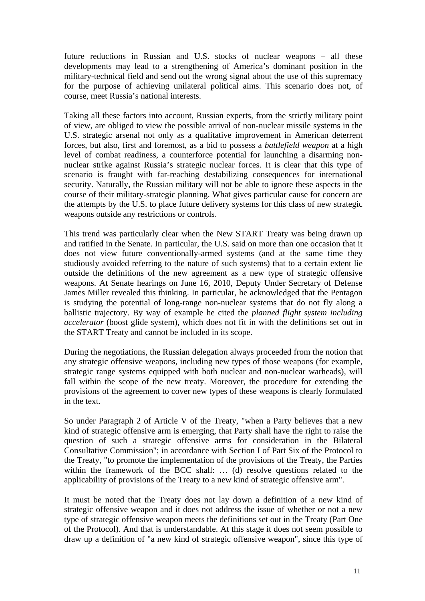future reductions in Russian and U.S. stocks of nuclear weapons – all these developments may lead to a strengthening of America's dominant position in the military-technical field and send out the wrong signal about the use of this supremacy for the purpose of achieving unilateral political aims. This scenario does not, of course, meet Russia's national interests.

Taking all these factors into account, Russian experts, from the strictly military point of view, are obliged to view the possible arrival of non-nuclear missile systems in the U.S. strategic arsenal not only as a qualitative improvement in American deterrent forces, but also, first and foremost, as a bid to possess a *battlefield weapon* at a high level of combat readiness, a counterforce potential for launching a disarming nonnuclear strike against Russia's strategic nuclear forces. It is clear that this type of scenario is fraught with far-reaching destabilizing consequences for international security. Naturally, the Russian military will not be able to ignore these aspects in the course of their military-strategic planning. What gives particular cause for concern are the attempts by the U.S. to place future delivery systems for this class of new strategic weapons outside any restrictions or controls.

This trend was particularly clear when the New START Treaty was being drawn up and ratified in the Senate. In particular, the U.S. said on more than one occasion that it does not view future conventionally-armed systems (and at the same time they studiously avoided referring to the nature of such systems) that to a certain extent lie outside the definitions of the new agreement as a new type of strategic offensive weapons. At Senate hearings on June 16, 2010, Deputy Under Secretary of Defense James Miller revealed this thinking. In particular, he acknowledged that the Pentagon is studying the potential of long-range non-nuclear systems that do not fly along a ballistic trajectory. By way of example he cited the *planned flight system including accelerator* (boost glide system), which does not fit in with the definitions set out in the START Treaty and cannot be included in its scope.

During the negotiations, the Russian delegation always proceeded from the notion that any strategic offensive weapons, including new types of those weapons (for example, strategic range systems equipped with both nuclear and non-nuclear warheads), will fall within the scope of the new treaty. Moreover, the procedure for extending the provisions of the agreement to cover new types of these weapons is clearly formulated in the text.

So under Paragraph 2 of Article V of the Treaty, "when a Party believes that a new kind of strategic offensive arm is emerging, that Party shall have the right to raise the question of such a strategic offensive arms for consideration in the Bilateral Consultative Commission"; in accordance with Section I of Part Six of the Protocol to the Treaty, "to promote the implementation of the provisions of the Treaty, the Parties within the framework of the BCC shall: ... (d) resolve questions related to the applicability of provisions of the Treaty to a new kind of strategic offensive arm".

It must be noted that the Treaty does not lay down a definition of a new kind of strategic offensive weapon and it does not address the issue of whether or not a new type of strategic offensive weapon meets the definitions set out in the Treaty (Part One of the Protocol). And that is understandable. At this stage it does not seem possible to draw up a definition of "a new kind of strategic offensive weapon", since this type of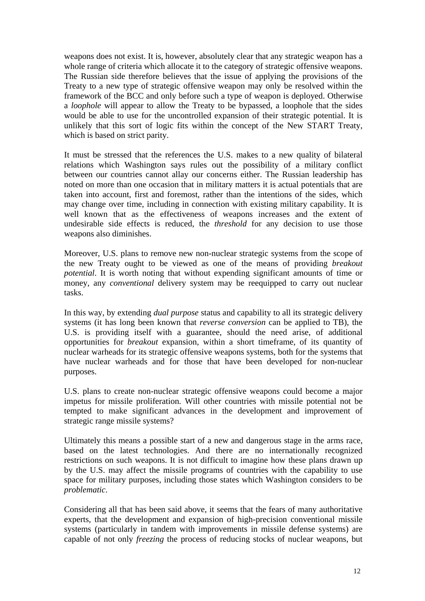weapons does not exist. It is, however, absolutely clear that any strategic weapon has a whole range of criteria which allocate it to the category of strategic offensive weapons. The Russian side therefore believes that the issue of applying the provisions of the Treaty to a new type of strategic offensive weapon may only be resolved within the framework of the BCC and only before such a type of weapon is deployed. Otherwise a *loophole* will appear to allow the Treaty to be bypassed, a loophole that the sides would be able to use for the uncontrolled expansion of their strategic potential. It is unlikely that this sort of logic fits within the concept of the New START Treaty, which is based on strict parity.

It must be stressed that the references the U.S. makes to a new quality of bilateral relations which Washington says rules out the possibility of a military conflict between our countries cannot allay our concerns either. The Russian leadership has noted on more than one occasion that in military matters it is actual potentials that are taken into account, first and foremost, rather than the intentions of the sides, which may change over time, including in connection with existing military capability. It is well known that as the effectiveness of weapons increases and the extent of undesirable side effects is reduced, the *threshold* for any decision to use those weapons also diminishes.

Moreover, U.S. plans to remove new non-nuclear strategic systems from the scope of the new Treaty ought to be viewed as one of the means of providing *breakout potential*. It is worth noting that without expending significant amounts of time or money, any *conventional* delivery system may be reequipped to carry out nuclear tasks.

In this way, by extending *dual purpose* status and capability to all its strategic delivery systems (it has long been known that *reverse conversion* can be applied to TB), the U.S. is providing itself with a guarantee, should the need arise, of additional opportunities for *breakout* expansion, within a short timeframe, of its quantity of nuclear warheads for its strategic offensive weapons systems, both for the systems that have nuclear warheads and for those that have been developed for non-nuclear purposes.

U.S. plans to create non-nuclear strategic offensive weapons could become a major impetus for missile proliferation. Will other countries with missile potential not be tempted to make significant advances in the development and improvement of strategic range missile systems?

Ultimately this means a possible start of a new and dangerous stage in the arms race, based on the latest technologies. And there are no internationally recognized restrictions on such weapons. It is not difficult to imagine how these plans drawn up by the U.S. may affect the missile programs of countries with the capability to use space for military purposes, including those states which Washington considers to be *problematic*.

Considering all that has been said above, it seems that the fears of many authoritative experts, that the development and expansion of high-precision conventional missile systems (particularly in tandem with improvements in missile defense systems) are capable of not only *freezing* the process of reducing stocks of nuclear weapons, but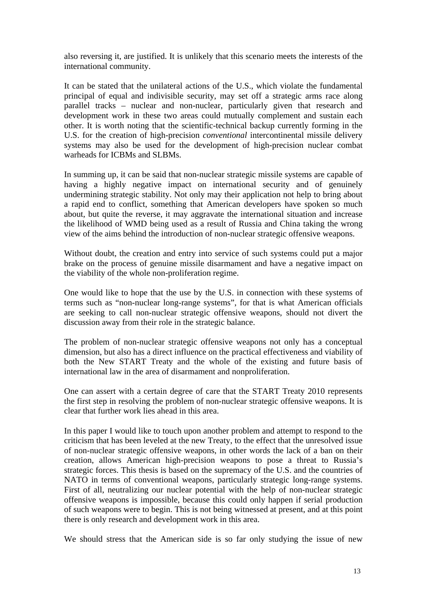also reversing it, are justified. It is unlikely that this scenario meets the interests of the international community.

It can be stated that the unilateral actions of the U.S., which violate the fundamental principal of equal and indivisible security, may set off a strategic arms race along parallel tracks – nuclear and non-nuclear, particularly given that research and development work in these two areas could mutually complement and sustain each other. It is worth noting that the scientific-technical backup currently forming in the U.S. for the creation of high-precision *conventional* intercontinental missile delivery systems may also be used for the development of high-precision nuclear combat warheads for ICBMs and SLBMs.

In summing up, it can be said that non-nuclear strategic missile systems are capable of having a highly negative impact on international security and of genuinely undermining strategic stability. Not only may their application not help to bring about a rapid end to conflict, something that American developers have spoken so much about, but quite the reverse, it may aggravate the international situation and increase the likelihood of WMD being used as a result of Russia and China taking the wrong view of the aims behind the introduction of non-nuclear strategic offensive weapons.

Without doubt, the creation and entry into service of such systems could put a major brake on the process of genuine missile disarmament and have a negative impact on the viability of the whole non-proliferation regime.

One would like to hope that the use by the U.S. in connection with these systems of terms such as "non-nuclear long-range systems", for that is what American officials are seeking to call non-nuclear strategic offensive weapons, should not divert the discussion away from their role in the strategic balance.

The problem of non-nuclear strategic offensive weapons not only has a conceptual dimension, but also has a direct influence on the practical effectiveness and viability of both the New START Treaty and the whole of the existing and future basis of international law in the area of disarmament and nonproliferation.

One can assert with a certain degree of care that the START Treaty 2010 represents the first step in resolving the problem of non-nuclear strategic offensive weapons. It is clear that further work lies ahead in this area.

In this paper I would like to touch upon another problem and attempt to respond to the criticism that has been leveled at the new Treaty, to the effect that the unresolved issue of non-nuclear strategic offensive weapons, in other words the lack of a ban on their creation, allows American high-precision weapons to pose a threat to Russia's strategic forces. This thesis is based on the supremacy of the U.S. and the countries of NATO in terms of conventional weapons, particularly strategic long-range systems. First of all, neutralizing our nuclear potential with the help of non-nuclear strategic offensive weapons is impossible, because this could only happen if serial production of such weapons were to begin. This is not being witnessed at present, and at this point there is only research and development work in this area.

We should stress that the American side is so far only studying the issue of new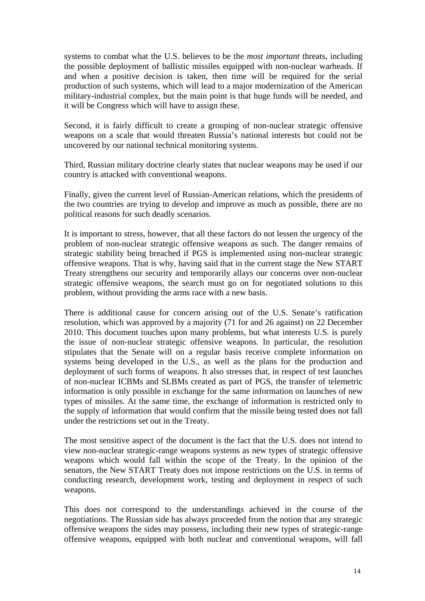systems to combat what the U.S. believes to be the *most important* threats, including the possible deployment of ballistic missiles equipped with non-nuclear warheads. If and when a positive decision is taken, then time will be required for the serial production of such systems, which will lead to a major modernization of the American military-industrial complex, but the main point is that huge funds will be needed, and it will be Congress which will have to assign these.

Second, it is fairly difficult to create a grouping of non-nuclear strategic offensive weapons on a scale that would threaten Russia's national interests but could not be uncovered by our national technical monitoring systems.

Third, Russian military doctrine clearly states that nuclear weapons may be used if our country is attacked with conventional weapons.

Finally, given the current level of Russian-American relations, which the presidents of the two countries are trying to develop and improve as much as possible, there are no political reasons for such deadly scenarios.

It is important to stress, however, that all these factors do not lessen the urgency of the problem of non-nuclear strategic offensive weapons as such. The danger remains of strategic stability being breached if PGS is implemented using non-nuclear strategic offensive weapons. That is why, having said that in the current stage the New START Treaty strengthens our security and temporarily allays our concerns over non-nuclear strategic offensive weapons, the search must go on for negotiated solutions to this problem, without providing the arms race with a new basis.

There is additional cause for concern arising out of the U.S. Senate's ratification resolution, which was approved by a majority (71 for and 26 against) on 22 December 2010. This document touches upon many problems, but what interests U.S. is purely the issue of non-nuclear strategic offensive weapons. In particular, the resolution stipulates that the Senate will on a regular basis receive complete information on systems being developed in the U.S., as well as the plans for the production and deployment of such forms of weapons. It also stresses that, in respect of test launches of non-nuclear ICBMs and SLBMs created as part of PGS, the transfer of telemetric information is only possible in exchange for the same information on launches of new types of missiles. At the same time, the exchange of information is restricted only to the supply of information that would confirm that the missile being tested does not fall under the restrictions set out in the Treaty.

The most sensitive aspect of the document is the fact that the U.S. does not intend to view non-nuclear strategic-range weapons systems as new types of strategic offensive weapons which would fall within the scope of the Treaty. In the opinion of the senators, the New START Treaty does not impose restrictions on the U.S. in terms of conducting research, development work, testing and deployment in respect of such weapons.

This does not correspond to the understandings achieved in the course of the negotiations. The Russian side has always proceeded from the notion that any strategic offensive weapons the sides may possess, including their new types of strategic-range offensive weapons, equipped with both nuclear and conventional weapons, will fall